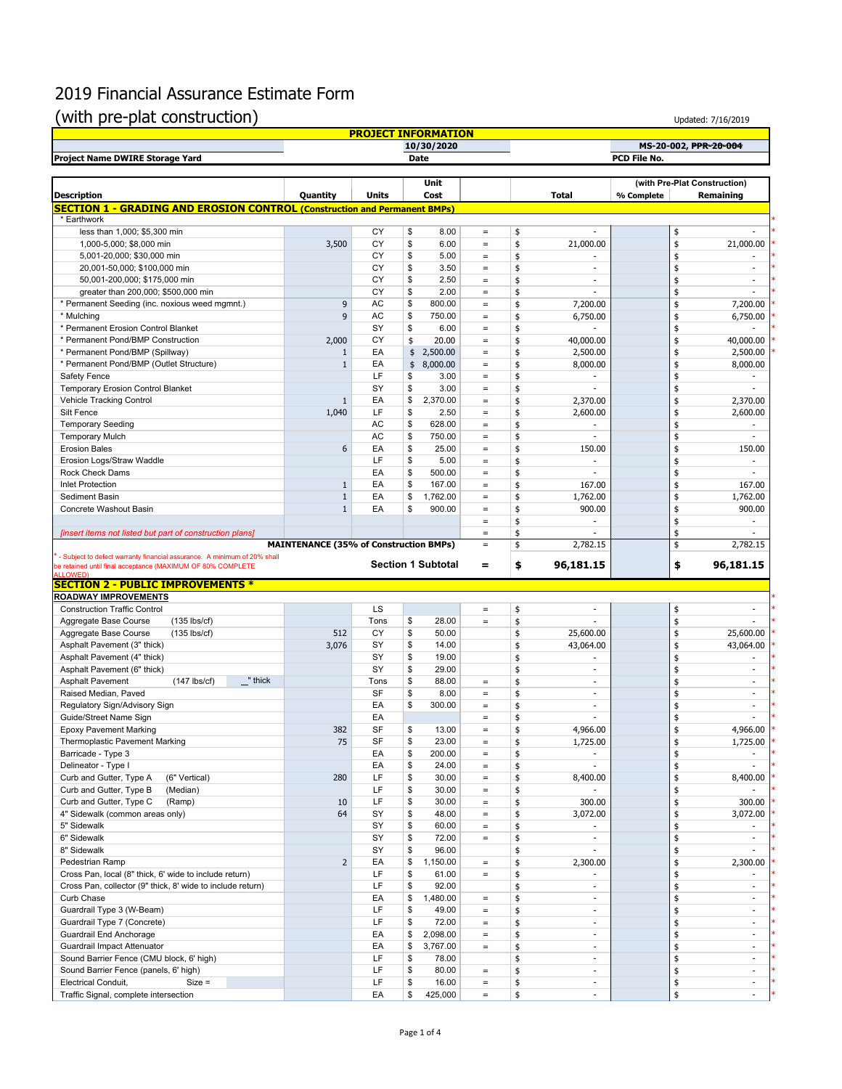## 2019 Financial Assurance Estimate Form

## (with pre-plat construction)

| (with pre-plat construction)                                                                     |                                               |           |                                        |                               |                       |                                                      |            |          | Updated: 7/16/2019                 |  |  |
|--------------------------------------------------------------------------------------------------|-----------------------------------------------|-----------|----------------------------------------|-------------------------------|-----------------------|------------------------------------------------------|------------|----------|------------------------------------|--|--|
|                                                                                                  |                                               |           | <b>PROJECT INFORMATION</b>             |                               |                       |                                                      |            |          |                                    |  |  |
| 10/30/2020                                                                                       |                                               |           |                                        |                               | MS-20-002, PPR-20-004 |                                                      |            |          |                                    |  |  |
| PCD File No.<br>Project Name DWIRE Storage Yard<br>Date                                          |                                               |           |                                        |                               |                       |                                                      |            |          |                                    |  |  |
|                                                                                                  |                                               |           | Unit                                   |                               |                       |                                                      |            |          | (with Pre-Plat Construction)       |  |  |
| <b>Description</b>                                                                               | Quantity                                      | Units     | Cost                                   |                               |                       | <b>Total</b>                                         | % Complete |          | Remaining                          |  |  |
| <b>SECTION 1 - GRADING AND EROSION CONTROL (Construction and Permanent BMPs)</b>                 |                                               |           |                                        |                               |                       |                                                      |            |          |                                    |  |  |
| * Earthwork                                                                                      |                                               |           |                                        |                               |                       |                                                      |            |          |                                    |  |  |
| less than 1,000; \$5,300 min                                                                     |                                               | CY        | \$<br>8.00                             | $\equiv$                      | \$                    | $\blacksquare$                                       |            | \$       |                                    |  |  |
| 1,000-5,000; \$8,000 min                                                                         | 3,500                                         | CY        | \$<br>6.00                             | $\equiv$                      | \$                    | 21,000.00                                            |            | \$       | 21,000.00                          |  |  |
| 5,001-20,000; \$30,000 min                                                                       |                                               | CY        | \$<br>5.00                             | $\equiv$                      | \$                    | $\sim$                                               |            | \$       |                                    |  |  |
| 20,001-50,000; \$100,000 min                                                                     |                                               | CY        | \$<br>3.50                             | $\equiv$                      | \$                    | $\sim$<br>$\sim$                                     |            | \$       | $\overline{\phantom{a}}$<br>$\sim$ |  |  |
| 50,001-200,000; \$175,000 min<br>greater than 200,000; \$500,000 min                             |                                               | CY<br>CY  | \$<br>2.50<br>\$<br>2.00               | $\qquad \qquad =$<br>$\equiv$ | \$<br>\$              | $\sim$                                               |            | \$<br>\$ | ÷.                                 |  |  |
| * Permanent Seeding (inc. noxious weed mgmnt.)                                                   | 9                                             | AC        | \$<br>800.00                           | $\qquad \qquad =$             | \$                    | 7,200.00                                             |            | \$       | 7,200.00                           |  |  |
| * Mulching                                                                                       | 9                                             | AC        | \$<br>750.00                           | $\equiv$                      | \$                    | 6,750.00                                             |            | \$       | 6,750.00                           |  |  |
| * Permanent Erosion Control Blanket                                                              |                                               | SY        | \$<br>6.00                             | $\equiv$                      | \$                    |                                                      |            | \$       |                                    |  |  |
| * Permanent Pond/BMP Construction                                                                | 2,000                                         | CY        | \$<br>20.00                            | $\equiv$                      | \$                    | 40,000.00                                            |            | \$       | 40,000.00                          |  |  |
| * Permanent Pond/BMP (Spillway)                                                                  | $\mathbf{1}$                                  | EA        | \$<br>2,500.00                         | $\equiv$                      | \$                    | 2,500.00                                             |            | \$       | 2,500.00                           |  |  |
| * Permanent Pond/BMP (Outlet Structure)                                                          | $1\,$                                         | EA        | 8,000.00<br>\$                         | $\equiv$                      | \$                    | 8,000.00                                             |            | \$       | 8,000.00                           |  |  |
| Safety Fence                                                                                     |                                               | LF        | \$<br>3.00                             | $\equiv$                      | \$                    | $\overline{\phantom{a}}$                             |            | \$       | $\sim$                             |  |  |
| <b>Temporary Erosion Control Blanket</b>                                                         |                                               | SY<br>EA  | \$<br>3.00<br>2,370.00                 | $\equiv$                      | \$                    |                                                      |            | \$       | ÷.                                 |  |  |
| Vehicle Tracking Control<br>Silt Fence                                                           | $\mathbf{1}$<br>1,040                         | LF        | \$<br>\$<br>2.50                       | $\equiv$<br>$\equiv$          | \$<br>\$              | 2,370.00<br>2,600.00                                 |            | \$<br>\$ | 2,370.00<br>2,600.00               |  |  |
| <b>Temporary Seeding</b>                                                                         |                                               | <b>AC</b> | \$<br>628.00                           | $\equiv$                      | \$                    |                                                      |            | \$       |                                    |  |  |
| <b>Temporary Mulch</b>                                                                           |                                               | AC        | \$<br>750.00                           | $\qquad \qquad =$             | \$                    | ÷.                                                   |            | \$       | $\sim$                             |  |  |
| <b>Erosion Bales</b>                                                                             | 6                                             | EA        | \$<br>25.00                            | $\equiv$                      | \$                    | 150.00                                               |            | \$       | 150.00                             |  |  |
| Erosion Logs/Straw Waddle                                                                        |                                               | LF        | \$<br>5.00                             | $\equiv$                      | \$                    |                                                      |            | \$       |                                    |  |  |
| Rock Check Dams                                                                                  |                                               | EA        | \$<br>500.00                           | $\equiv$                      | \$                    |                                                      |            | \$       |                                    |  |  |
| <b>Inlet Protection</b>                                                                          | $\mathbf{1}$                                  | EA        | \$<br>167.00                           | $\equiv$                      | \$                    | 167.00                                               |            | \$       | 167.00                             |  |  |
| Sediment Basin                                                                                   | $\mathbf{1}$                                  | EA        | \$<br>1,762.00                         | $\equiv$                      | \$                    | 1,762.00                                             |            | \$       | 1,762.00                           |  |  |
| Concrete Washout Basin                                                                           | $\mathbf{1}$                                  | EA        | \$<br>900.00                           | $\equiv$                      | \$                    | 900.00                                               |            | \$       | 900.00                             |  |  |
|                                                                                                  |                                               |           |                                        | $\equiv$                      | \$                    | $\overline{\phantom{a}}$                             |            | \$       | $\sim$                             |  |  |
| [insert items not listed but part of construction plans]                                         | <b>MAINTENANCE (35% of Construction BMPs)</b> |           |                                        | $\qquad \qquad =$<br>$\equiv$ | \$<br>\$              | 2,782.15                                             |            | \$<br>\$ | 2,782.15                           |  |  |
| - Subject to defect warranty financial assurance. A minimum of 20% shall                         |                                               |           |                                        |                               |                       |                                                      |            |          |                                    |  |  |
| be retained until final acceptance (MAXIMUM OF 80% COMPLETE                                      |                                               |           | <b>Section 1 Subtotal</b>              | =                             | \$                    | 96,181.15                                            |            | \$       | 96,181.15                          |  |  |
| <b>ALLOWED</b> )<br><b>SECTION 2 - PUBLIC IMPROVEMENTS *</b>                                     |                                               |           |                                        |                               |                       |                                                      |            |          |                                    |  |  |
| <u>ROADWAY IMPROVEMENTS</u>                                                                      |                                               |           |                                        |                               |                       |                                                      |            |          |                                    |  |  |
| <b>Construction Traffic Control</b>                                                              |                                               | LS        |                                        | $\qquad \qquad =$             | \$                    |                                                      |            | \$       |                                    |  |  |
| Aggregate Base Course<br>$(135$ lbs/cf)                                                          |                                               | Tons      | \$<br>28.00                            | $\equiv$                      | \$                    |                                                      |            | \$       |                                    |  |  |
| Aggregate Base Course<br>$(135$ lbs/cf)                                                          | 512                                           | CY        | \$<br>50.00                            |                               | \$                    | 25,600.00                                            |            | \$       | 25,600.00                          |  |  |
| Asphalt Pavement (3" thick)                                                                      | 3,076                                         | SY        | \$<br>14.00                            |                               | \$                    | 43,064.00                                            |            | \$       | 43,064.00                          |  |  |
| Asphalt Pavement (4" thick)                                                                      |                                               | SY<br>SY  | \$<br>19.00<br>\$<br>29.00             |                               | \$                    | $\sim$                                               |            | \$       | $\sim$<br>$\sim$                   |  |  |
| Asphalt Pavement (6" thick)<br><b>Asphalt Pavement</b><br>$(147$ lbs/cf)<br>$\mathbf{r}$ " thick |                                               | Tons      | \$<br>88.00                            | $\equiv$                      | \$<br>\$              | $\blacksquare$<br>$\overline{\phantom{a}}$           |            | \$<br>\$ | $\sim$                             |  |  |
| Raised Median, Paved                                                                             |                                               | SF        | \$<br>8.00                             | $\,=\,$                       | \$                    | $\sim$                                               |            | \$       | $\sim$                             |  |  |
| Regulatory Sign/Advisory Sign                                                                    |                                               | EA        | \$<br>300.00                           | $\equiv$                      | \$                    | $\blacksquare$                                       |            | \$       |                                    |  |  |
| Guide/Street Name Sign                                                                           |                                               | EA        |                                        | $\equiv$                      | \$                    |                                                      |            | \$       |                                    |  |  |
| <b>Epoxy Pavement Marking</b>                                                                    | 382                                           | SF        | \$<br>13.00                            |                               | \$                    | 4,966.00                                             |            |          | 4,966.00                           |  |  |
| Thermoplastic Pavement Marking                                                                   | 75                                            | SF        | \$<br>23.00                            | $\qquad \qquad =$             | \$                    | 1,725.00                                             |            | \$       | 1,725.00                           |  |  |
| Barricade - Type 3                                                                               |                                               | EA        | \$<br>200.00                           | $\equiv$                      | \$                    |                                                      |            | \$       |                                    |  |  |
| Delineator - Type I                                                                              |                                               | EA        | \$<br>24.00                            | $\qquad \qquad =$             | \$                    | ×.                                                   |            | \$       |                                    |  |  |
| Curb and Gutter, Type A<br>(6" Vertical)                                                         | 280                                           | LF        | \$<br>30.00                            | $\equiv$                      | \$                    | 8,400.00                                             |            | \$       | 8,400.00                           |  |  |
| Curb and Gutter, Type B<br>(Median)<br>Curb and Gutter, Type C<br>(Ramp)                         | 10                                            | LF<br>LF  | \$<br>30.00<br>\$<br>30.00             | $\equiv$<br>$\equiv$          | \$<br>\$              | 300.00                                               |            | \$<br>\$ | 300.00                             |  |  |
| 4" Sidewalk (common areas only)                                                                  | 64                                            | SY        | 48.00<br>\$                            | $\equiv$                      | \$                    | 3,072.00                                             |            | \$       | 3,072.00                           |  |  |
| 5" Sidewalk                                                                                      |                                               | SY        | \$<br>60.00                            | $\equiv$                      | \$                    | $\overline{\phantom{a}}$                             |            | \$       |                                    |  |  |
| 6" Sidewalk                                                                                      |                                               | SY        | 72.00<br>\$                            | $\equiv$                      | \$                    | $\overline{\phantom{a}}$                             |            | \$       | $\sim$                             |  |  |
| 8" Sidewalk                                                                                      |                                               | SY        | \$<br>96.00                            |                               | \$                    | ÷.                                                   |            | \$       | $\sim$                             |  |  |
| Pedestrian Ramp                                                                                  | $\overline{2}$                                | EA        | 1,150.00<br>\$                         | $\equiv$                      | \$                    | 2,300.00                                             |            | \$       | 2,300.00                           |  |  |
| Cross Pan, local (8" thick, 6' wide to include return)                                           |                                               | LF        | \$<br>61.00                            | $\equiv$                      | \$                    |                                                      |            | \$       |                                    |  |  |
| Cross Pan, collector (9" thick, 8' wide to include return)                                       |                                               | LF        | \$<br>92.00                            |                               | \$                    | $\sim$                                               |            | \$       | ÷.                                 |  |  |
| Curb Chase                                                                                       |                                               | EA        | 1,480.00<br>\$                         | $\equiv$                      | \$                    | $\overline{\phantom{a}}$                             |            | \$       |                                    |  |  |
| Guardrail Type 3 (W-Beam)<br>Guardrail Type 7 (Concrete)                                         |                                               | LF<br>LF  | \$<br>49.00<br>\$<br>72.00             | $\equiv$<br>$\equiv$          | \$<br>\$              | $\overline{\phantom{a}}$<br>$\overline{\phantom{a}}$ |            | \$<br>\$ | $\sim$<br>$\sim$                   |  |  |
| Guardrail End Anchorage                                                                          |                                               | EA        | \$<br>2,098.00                         | $\equiv$                      | \$                    | $\sim$                                               |            | \$       | $\sim$                             |  |  |
|                                                                                                  |                                               |           |                                        |                               |                       |                                                      |            |          |                                    |  |  |
|                                                                                                  |                                               | EA        | \$                                     | $\equiv$                      |                       | $\sim$                                               |            |          | $\sim$                             |  |  |
| Guardrail Impact Attenuator<br>Sound Barrier Fence (CMU block, 6' high)                          |                                               | LF        | 3,767.00<br>\$<br>78.00                |                               | \$<br>\$              | $\overline{\phantom{a}}$                             |            | \$<br>\$ | $\sim$                             |  |  |
| Sound Barrier Fence (panels, 6' high)                                                            |                                               | LF        | \$<br>80.00                            | $\equiv$                      | \$                    | $\sim$                                               |            | \$       | $\sim$                             |  |  |
| Electrical Conduit,<br>$Size =$<br>Traffic Signal, complete intersection                         |                                               | LF<br>FA  | \$<br>16.00<br>425,000<br>$\mathbb{R}$ | $\equiv$                      | \$                    | $\overline{\phantom{a}}$                             |            | \$       | $\sim$                             |  |  |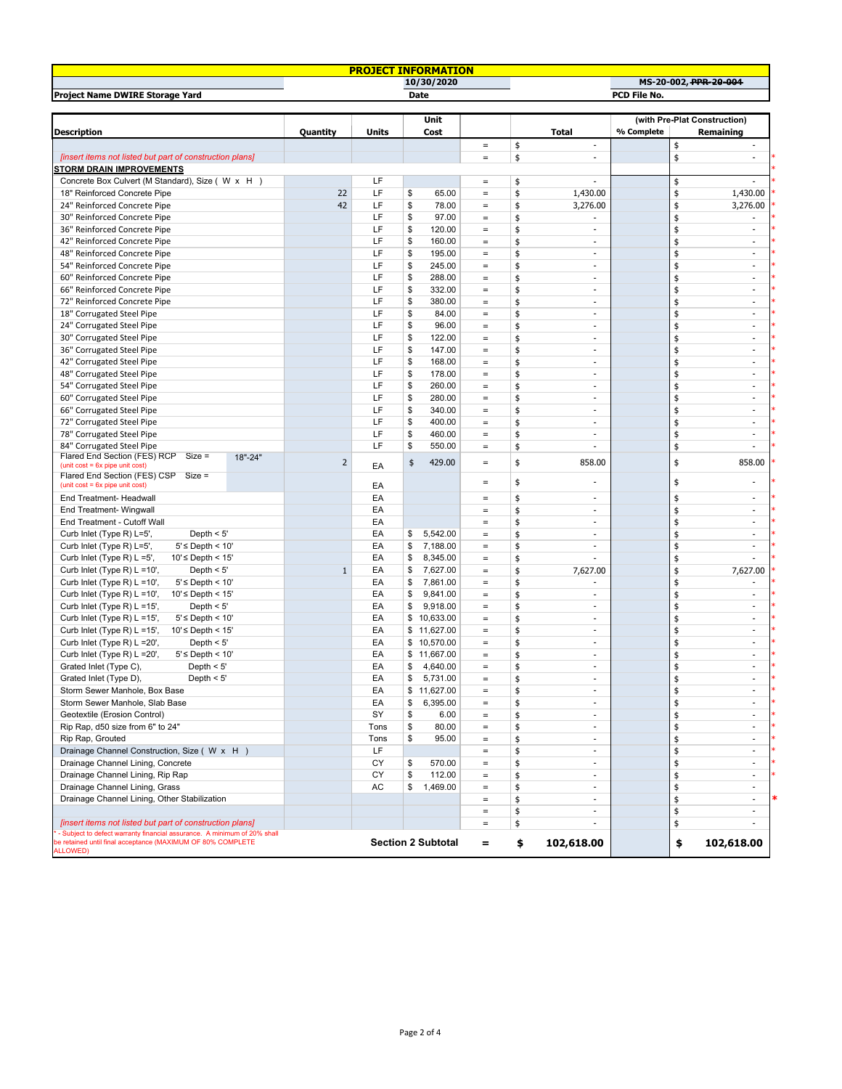| <b>PROJECT INFORMATION</b>                                                    |         |                |              |                           |                                   |    |                          |                              |    |                          |
|-------------------------------------------------------------------------------|---------|----------------|--------------|---------------------------|-----------------------------------|----|--------------------------|------------------------------|----|--------------------------|
|                                                                               |         |                |              | 10/30/2020                |                                   |    |                          |                              |    | MS-20-002, PPR-20-004    |
| Project Name DWIRE Storage Yard                                               |         |                |              | <b>Date</b>               |                                   |    |                          | PCD File No.                 |    |                          |
|                                                                               |         |                |              |                           |                                   |    |                          |                              |    |                          |
|                                                                               |         |                |              | Unit                      |                                   |    |                          | (with Pre-Plat Construction) |    |                          |
| <b>Description</b>                                                            |         | Quantity       | <b>Units</b> | Cost                      |                                   |    | <b>Total</b>             | % Complete                   |    | Remaining                |
|                                                                               |         |                |              |                           | $\qquad \qquad =$                 | \$ | $\blacksquare$           |                              | \$ |                          |
| [insert items not listed but part of construction plans]                      |         |                |              |                           | $\qquad \qquad =$                 | \$ | ä,                       |                              | \$ | ÷.                       |
| <b>STORM DRAIN IMPROVEMENTS</b>                                               |         |                |              |                           |                                   |    |                          |                              |    |                          |
| Concrete Box Culvert (M Standard), Size ( W x H )                             |         |                | LF           |                           | $=$                               | \$ | ä,                       |                              | \$ |                          |
| 18" Reinforced Concrete Pipe                                                  |         | 22             | LF           | \$<br>65.00               | $\qquad \qquad =$                 | \$ | 1,430.00                 |                              | \$ | 1,430.00                 |
| 24" Reinforced Concrete Pipe                                                  |         | 42             | LF           | \$<br>78.00               | $\qquad \qquad =$                 | \$ | 3,276.00                 |                              | \$ | 3,276.00                 |
| 30" Reinforced Concrete Pipe                                                  |         |                | LF           | \$<br>97.00               | $\qquad \qquad =$                 | \$ | ä,                       |                              | \$ | $\sim$                   |
| 36" Reinforced Concrete Pipe                                                  |         |                | LF           | \$<br>120.00              | $\qquad \qquad =$                 | \$ | ٠                        |                              | \$ | $\sim$                   |
| 42" Reinforced Concrete Pipe                                                  |         |                | LF           | \$<br>160.00              | $\qquad \qquad =$                 | \$ | $\blacksquare$           |                              | \$ | $\sim$                   |
| 48" Reinforced Concrete Pipe                                                  |         |                | LF           | \$<br>195.00              | $\quad =$                         | \$ | $\overline{\phantom{a}}$ |                              | \$ | $\overline{\phantom{a}}$ |
| 54" Reinforced Concrete Pipe                                                  |         |                | LF           | \$<br>245.00              | $\quad =$                         | \$ | ä,                       |                              | \$ | ÷.                       |
| 60" Reinforced Concrete Pipe                                                  |         |                | LF           | \$<br>288.00              | $\qquad \qquad =$                 | \$ | ÷,                       |                              | \$ | $\overline{\phantom{a}}$ |
| 66" Reinforced Concrete Pipe                                                  |         |                | LF           | \$<br>332.00              | $\qquad \qquad =$                 | \$ | $\blacksquare$           |                              | \$ | $\sim$                   |
| 72" Reinforced Concrete Pipe                                                  |         |                | LF           | \$<br>380.00              | $\qquad \qquad =$                 | \$ | $\overline{\phantom{a}}$ |                              | \$ | $\sim$                   |
| 18" Corrugated Steel Pipe                                                     |         |                | LF           | \$<br>84.00               | $\qquad \qquad =$                 | \$ | ä,                       |                              | \$ | $\sim$                   |
| 24" Corrugated Steel Pipe                                                     |         |                | LF           | \$<br>96.00               | $\qquad \qquad =$                 | \$ | $\blacksquare$           |                              | \$ | $\sim$                   |
| 30" Corrugated Steel Pipe                                                     |         |                | LF           | \$<br>122.00              | $\equiv$                          | \$ | ä,                       |                              | \$ | $\sim$                   |
| 36" Corrugated Steel Pipe                                                     |         |                | LF           | \$<br>147.00              | $\qquad \qquad =$                 | \$ | ÷,                       |                              | \$ | $\overline{\phantom{a}}$ |
| 42" Corrugated Steel Pipe                                                     |         |                | LF           | \$<br>168.00              | $\qquad \qquad =$                 | \$ | $\blacksquare$           |                              | \$ | $\sim$                   |
| 48" Corrugated Steel Pipe                                                     |         |                | LF           | \$<br>178.00              | $\qquad \qquad =$                 | \$ | $\overline{\phantom{a}}$ |                              | \$ | $\overline{\phantom{a}}$ |
| 54" Corrugated Steel Pipe                                                     |         |                | LF           | \$<br>260.00              | $\qquad \qquad =$                 | \$ | $\blacksquare$           |                              | \$ | $\sim$                   |
| 60" Corrugated Steel Pipe                                                     |         |                | LF           | \$<br>280.00              | $\qquad \qquad =$                 | \$ | $\blacksquare$           |                              | \$ | $\sim$                   |
| 66" Corrugated Steel Pipe                                                     |         |                | LF           | \$<br>340.00              | $\qquad \qquad =$                 | \$ | ä,                       |                              | \$ | $\sim$                   |
| 72" Corrugated Steel Pipe                                                     |         |                | LF           | \$<br>400.00              | $\qquad \qquad =$                 | \$ | $\overline{\phantom{a}}$ |                              | \$ | $\overline{\phantom{a}}$ |
| 78" Corrugated Steel Pipe                                                     |         |                | LF           | \$<br>460.00              | $\qquad \qquad =$                 | \$ | ÷,                       |                              | \$ | $\overline{\phantom{a}}$ |
| 84" Corrugated Steel Pipe                                                     |         |                | LF           | \$<br>550.00              | $\qquad \qquad =$                 | \$ | ٠                        |                              | \$ | ä,                       |
| Flared End Section (FES) RCP Size =                                           | 18"-24" |                |              |                           |                                   |    |                          |                              |    |                          |
| (unit cost = 6x pipe unit cost)                                               |         | $\overline{2}$ | EA           | 429.00<br>\$              | $\qquad \qquad =$                 | \$ | 858.00                   |                              | \$ | 858.00                   |
| Flared End Section (FES) CSP<br>$Size =$                                      |         |                |              |                           | $\qquad \qquad =$                 | \$ |                          |                              | \$ |                          |
| (unit cost = 6x pipe unit cost)                                               |         |                | EA           |                           |                                   |    |                          |                              |    |                          |
| End Treatment- Headwall                                                       |         |                | EA           |                           | $\qquad \qquad =$                 | \$ | ٠                        |                              | \$ | $\sim$                   |
| End Treatment- Wingwall                                                       |         |                | EA           |                           | $\qquad \qquad =$                 | \$ | $\overline{a}$           |                              | \$ | $\sim$                   |
| End Treatment - Cutoff Wall                                                   |         |                | EA           |                           | $\qquad \qquad =$                 | \$ | $\blacksquare$           |                              | \$ | $\sim$                   |
| Curb Inlet (Type R) L=5',<br>Depth $< 5'$                                     |         |                | EA           | 5,542.00<br>\$            | $\qquad \qquad =$                 | \$ | $\overline{\phantom{a}}$ |                              | \$ | $\overline{\phantom{a}}$ |
| $5'$ $\leq$ Depth $< 10'$<br>Curb Inlet (Type R) L=5',                        |         |                | EA           | \$<br>7,188.00            | $\quad =$                         | \$ | $\overline{\phantom{a}}$ |                              | \$ | $\overline{\phantom{a}}$ |
| 10'≤ Depth < 15'<br>Curb Inlet (Type R) L =5',                                |         |                | EA           | \$<br>8,345.00            | $\qquad \qquad =$                 | \$ |                          |                              | \$ |                          |
| Depth $< 5'$<br>Curb Inlet (Type R) $L = 10'$ ,                               |         | $\mathbf{1}$   | EA           | \$<br>7,627.00            | $\qquad \qquad =$                 | \$ | 7,627.00                 |                              | \$ | 7,627.00                 |
| Curb Inlet (Type R) $L = 10'$<br>$5'$ $\leq$ Depth $< 10'$                    |         |                | EA           | \$<br>7,861.00            | $\qquad \qquad =$                 | \$ | $\frac{1}{2}$            |                              | \$ |                          |
| Curb Inlet (Type R) L =10',<br>$10'$ $\leq$ Depth $< 15'$                     |         |                | EA           | \$<br>9,841.00            | $\qquad \qquad =$                 | \$ | ä,                       |                              | \$ | $\sim$                   |
| Curb Inlet (Type R) L =15',<br>Depth $< 5'$                                   |         |                | EA           | \$<br>9,918.00            | $\qquad \qquad =$                 | \$ | $\blacksquare$           |                              | \$ | $\sim$                   |
| Curb Inlet (Type R) L =15',<br>$5'$ $\leq$ Depth $< 10'$                      |         |                | EA           | \$10,633.00               | $\equiv$                          | \$ | ä,                       |                              | \$ | $\sim$                   |
| Curb Inlet (Type R) L =15',<br>10'≤ Depth < 15'                               |         |                | EA           | \$11,627.00               | $\qquad \qquad =$                 | \$ | ÷,                       |                              | \$ | $\overline{\phantom{a}}$ |
| Curb Inlet (Type R) L = 20',<br>Depth $< 5'$                                  |         |                | EA           | \$10,570.00               | $\qquad \qquad =$                 | \$ | $\overline{a}$           |                              | \$ | $\sim$                   |
| $5'$ $\leq$ Depth $< 10'$<br>Curb Inlet (Type R) L = 20',                     |         |                | EA           | \$11,667.00               | $\qquad \qquad =$                 | \$ | $\overline{\phantom{a}}$ |                              | \$ | $\sim$                   |
| Grated Inlet (Type C),<br>Depth $<$ 5'                                        |         |                | EA           | \$<br>4,640.00            | $\qquad \qquad =$                 | \$ | ÷.                       |                              | \$ | $\sim$                   |
| Grated Inlet (Type D),<br>Depth $< 5$                                         |         |                | EA           | $\frac{1}{2}$<br>5,731.00 | $\qquad \qquad =$                 | \$ |                          |                              | ¢  |                          |
| Storm Sewer Manhole, Box Base                                                 |         |                | EA           | \$11,627.00               | $\equiv$                          | \$ | ä,                       |                              | \$ | $\sim$                   |
| Storm Sewer Manhole, Slab Base                                                |         |                | EA           | \$<br>6,395.00            | $\qquad \qquad =$                 | \$ | $\overline{\phantom{a}}$ |                              | \$ | $\overline{\phantom{a}}$ |
| Geotextile (Erosion Control)                                                  |         |                | SY           | \$<br>6.00                | $\qquad \qquad =$                 | \$ | $\frac{1}{2}$            |                              | \$ | $\overline{\phantom{a}}$ |
| Rip Rap, d50 size from 6" to 24"                                              |         |                | Tons         | \$<br>80.00               | $\hspace{1.0cm} = \hspace{1.0cm}$ | \$ | $\overline{\phantom{a}}$ |                              | \$ | $\overline{\phantom{a}}$ |
| Rip Rap, Grouted                                                              |         |                | Tons         | \$<br>95.00               | $\qquad \qquad =$                 | \$ | ä,                       |                              | \$ | $\sim$                   |
| Drainage Channel Construction, Size (W x H)                                   |         |                | LF           |                           | $\qquad \qquad =$                 | \$ | ٠                        |                              | \$ | $\sim$                   |
| Drainage Channel Lining, Concrete                                             |         |                | СY           | \$<br>570.00              | $\qquad \qquad =$                 | \$ | ä,                       |                              | \$ | $\sim$                   |
| Drainage Channel Lining, Rip Rap                                              |         |                | CY           | \$<br>112.00              | $\qquad \qquad =$                 | \$ | ÷,                       |                              | \$ | $\overline{\phantom{a}}$ |
| Drainage Channel Lining, Grass                                                |         |                | AC           | \$<br>1,469.00            | $\qquad \qquad =$                 | \$ | ٠                        |                              | \$ | $\sim$                   |
| Drainage Channel Lining, Other Stabilization                                  |         |                |              |                           | $\qquad \qquad =$                 | \$ | ٠                        |                              | \$ | $\sim$                   |
|                                                                               |         |                |              |                           | $\qquad \qquad =$                 | \$ | ٠                        |                              | \$ | $\sim$                   |
| [insert items not listed but part of construction plans]                      |         |                |              |                           | $\qquad \qquad =$                 | \$ | $\overline{\phantom{a}}$ |                              | \$ | $\sim$                   |
| - Subject to defect warranty financial assurance. A minimum of 20% shall      |         |                |              |                           |                                   |    |                          |                              |    |                          |
| e retained until final acceptance (MAXIMUM OF 80% COMPLETE<br><b>ALLOWED)</b> |         |                |              | <b>Section 2 Subtotal</b> | =                                 | \$ | 102,618.00               |                              | \$ | 102,618.00               |
|                                                                               |         |                |              |                           |                                   |    |                          |                              |    |                          |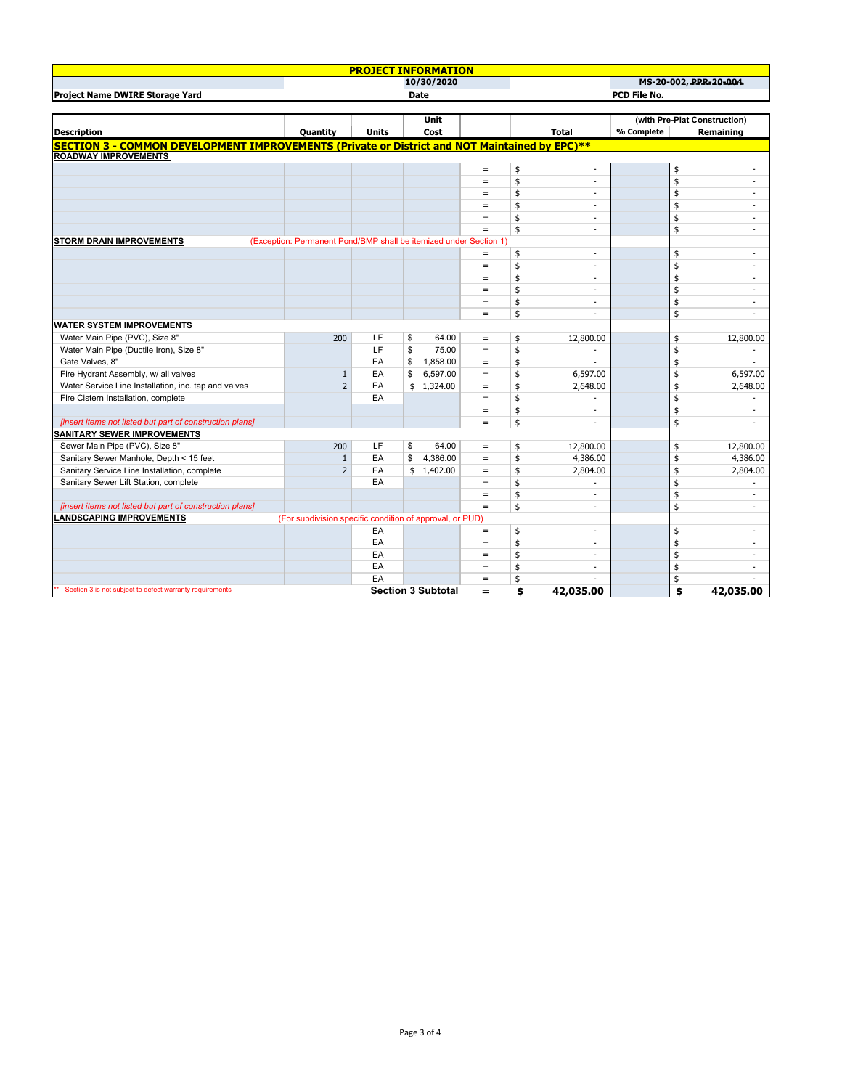|                                                                                                      |                                                                   | <b>PROJECT INFORMATION</b> |    |                           |                      |          |                          |            |          |                              |
|------------------------------------------------------------------------------------------------------|-------------------------------------------------------------------|----------------------------|----|---------------------------|----------------------|----------|--------------------------|------------|----------|------------------------------|
|                                                                                                      |                                                                   |                            |    | 10/30/2020                |                      |          |                          |            |          | MS-20-002, PPR-20-004        |
| Project Name DWIRE Storage Yard                                                                      | <b>Date</b>                                                       |                            |    |                           |                      |          | PCD File No.             |            |          |                              |
|                                                                                                      |                                                                   |                            |    |                           |                      |          |                          |            |          |                              |
|                                                                                                      |                                                                   |                            |    | <b>Unit</b>               |                      |          |                          |            |          | (with Pre-Plat Construction) |
| <b>Description</b>                                                                                   | <b>Quantity</b>                                                   | <b>Units</b>               |    | Cost                      |                      |          | <b>Total</b>             | % Complete |          | Remaining                    |
| <b>SECTION 3 - COMMON DEVELOPMENT IMPROVEMENTS (Private or District and NOT Maintained by EPC)**</b> |                                                                   |                            |    |                           |                      |          |                          |            |          |                              |
| <b>ROADWAY IMPROVEMENTS</b>                                                                          |                                                                   |                            |    |                           |                      |          |                          |            |          |                              |
|                                                                                                      |                                                                   |                            |    |                           | $\equiv$             | \$       | $\overline{\phantom{a}}$ |            | \$       |                              |
|                                                                                                      |                                                                   |                            |    |                           | $\qquad \qquad =$    | \$       | ÷.                       |            | \$       |                              |
|                                                                                                      |                                                                   |                            |    |                           | $\qquad \qquad =$    | \$       | $\sim$                   |            | \$       |                              |
|                                                                                                      |                                                                   |                            |    |                           | $=$                  | \$       | $\sim$                   |            | \$       |                              |
|                                                                                                      |                                                                   |                            |    |                           | $\qquad \qquad =$    | \$       | $\sim$                   |            | \$       |                              |
|                                                                                                      |                                                                   |                            |    |                           | $\qquad \qquad =$    | \$       | $\sim$                   |            | \$       | $\sim$                       |
| <b>STORM DRAIN IMPROVEMENTS</b>                                                                      | (Exception: Permanent Pond/BMP shall be itemized under Section 1) |                            |    |                           |                      |          |                          |            |          |                              |
|                                                                                                      |                                                                   |                            |    |                           | $\qquad \qquad =$    | \$       | $\sim$                   |            | \$       |                              |
|                                                                                                      |                                                                   |                            |    |                           | $\equiv$             | \$       | $\overline{\phantom{a}}$ |            | \$       | $\sim$                       |
|                                                                                                      |                                                                   |                            |    |                           | $\qquad \qquad =$    | \$       | $\sim$                   |            | \$       |                              |
|                                                                                                      |                                                                   |                            |    |                           | $\qquad \qquad =$    | \$       | $\sim$                   |            | \$       |                              |
|                                                                                                      |                                                                   |                            |    |                           | $\qquad \qquad =$    | \$       | $\sim$<br>÷.             |            | \$       | $\sim$<br>÷.                 |
|                                                                                                      |                                                                   |                            |    |                           | $\qquad \qquad =$    | \$       |                          |            | \$       |                              |
| <b>WATER SYSTEM IMPROVEMENTS</b>                                                                     |                                                                   | LF                         | \$ | 64.00                     |                      |          |                          |            |          |                              |
| Water Main Pipe (PVC), Size 8"<br>Water Main Pipe (Ductile Iron), Size 8"                            | 200                                                               | LF                         | \$ | 75.00                     | $\equiv$<br>$\equiv$ | \$<br>\$ | 12,800.00                |            | \$       | 12,800.00                    |
| Gate Valves, 8"                                                                                      |                                                                   | EA                         | \$ | 1,858.00                  | $=$                  | \$       | $\sim$                   |            | \$<br>\$ |                              |
| Fire Hydrant Assembly, w/ all valves                                                                 | $\mathbf{1}$                                                      | EA                         | \$ | 6,597.00                  | $\equiv$             | \$       | 6,597.00                 |            | \$       | 6,597.00                     |
| Water Service Line Installation, inc. tap and valves                                                 | $\overline{2}$                                                    | EA                         |    | \$1,324.00                | $=$                  | \$       | 2,648.00                 |            | \$       | 2,648.00                     |
| Fire Cistern Installation, complete                                                                  |                                                                   | EA                         |    |                           | $=$                  | \$       | $\sim$                   |            | \$       |                              |
|                                                                                                      |                                                                   |                            |    |                           | $\qquad \qquad =$    | \$       | $\overline{\phantom{a}}$ |            | \$       |                              |
| [insert items not listed but part of construction plans]                                             |                                                                   |                            |    |                           | $\qquad \qquad =$    | \$       | $\sim$                   |            | \$       | $\sim$                       |
| <b>SANITARY SEWER IMPROVEMENTS</b>                                                                   |                                                                   |                            |    |                           |                      |          |                          |            |          |                              |
| Sewer Main Pipe (PVC), Size 8"                                                                       | 200                                                               | LF                         | \$ | 64.00                     | $=$                  | \$       | 12,800.00                |            | \$       | 12,800.00                    |
| Sanitary Sewer Manhole, Depth < 15 feet                                                              | $\mathbf{1}$                                                      | EA                         | \$ | 4,386.00                  | $\equiv$             | \$       | 4,386.00                 |            | \$       | 4,386.00                     |
| Sanitary Service Line Installation, complete                                                         | $\overline{2}$                                                    | EA                         |    | \$1,402.00                | $\qquad \qquad =$    | \$       | 2,804.00                 |            | \$       | 2,804.00                     |
| Sanitary Sewer Lift Station, complete                                                                |                                                                   | EA                         |    |                           | $\qquad \qquad =$    | \$       |                          |            | \$       |                              |
|                                                                                                      |                                                                   |                            |    |                           | $\qquad \qquad =$    | \$       | $\sim$                   |            | \$       | $\sim$                       |
| [insert items not listed but part of construction plans]                                             |                                                                   |                            |    |                           | $\qquad \qquad =$    | \$       | $\sim$                   |            | \$       | $\sim$                       |
| <b>LANDSCAPING IMPROVEMENTS</b>                                                                      | (For subdivision specific condition of approval, or PUD)          |                            |    |                           |                      |          |                          |            |          |                              |
|                                                                                                      |                                                                   | EA                         |    |                           | $\equiv$             | \$       | $\sim$                   |            | \$       |                              |
|                                                                                                      |                                                                   | EA                         |    |                           | $\qquad \qquad =$    | \$       | $\sim$                   |            | \$       | $\sim$                       |
|                                                                                                      |                                                                   | EA                         |    |                           | $=$                  | \$       | $\sim$                   |            | \$       |                              |
|                                                                                                      |                                                                   | EA                         |    |                           | $=$                  | \$       | $\overline{\phantom{a}}$ |            | \$       |                              |
|                                                                                                      |                                                                   | EA                         |    |                           | $\qquad \qquad =$    | \$       |                          |            | \$       |                              |
| ** - Section 3 is not subject to defect warranty requirements                                        |                                                                   |                            |    | <b>Section 3 Subtotal</b> | $=$                  | \$       | 42,035.00                |            | \$       | 42,035.00                    |